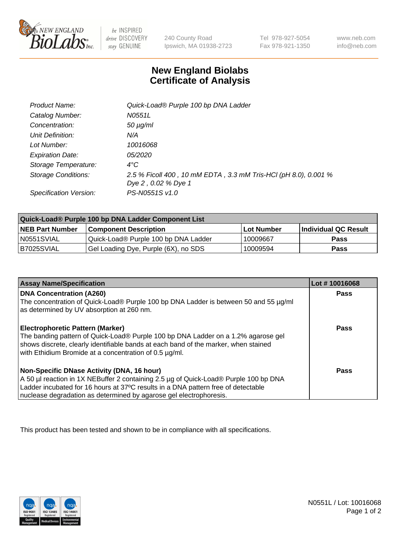

 $be$  INSPIRED drive DISCOVERY stay GENUINE

240 County Road Ipswich, MA 01938-2723 Tel 978-927-5054 Fax 978-921-1350

www.neb.com info@neb.com

## **New England Biolabs Certificate of Analysis**

| Product Name:           | Quick-Load® Purple 100 bp DNA Ladder                            |
|-------------------------|-----------------------------------------------------------------|
| Catalog Number:         | N0551L                                                          |
| Concentration:          | $50 \mu g/ml$                                                   |
| Unit Definition:        | N/A                                                             |
| Lot Number:             | 10016068                                                        |
| <b>Expiration Date:</b> | <i>05/2020</i>                                                  |
| Storage Temperature:    | $4^{\circ}$ C                                                   |
| Storage Conditions:     | 2.5 % Ficoll 400, 10 mM EDTA, 3.3 mM Tris-HCl (pH 8.0), 0.001 % |
|                         | Dye 2, 0.02 % Dye 1                                             |
| Specification Version:  | PS-N0551S v1.0                                                  |

| Quick-Load® Purple 100 bp DNA Ladder Component List |                                      |                   |                      |  |
|-----------------------------------------------------|--------------------------------------|-------------------|----------------------|--|
| <b>NEB Part Number</b>                              | <b>Component Description</b>         | <b>Lot Number</b> | Individual QC Result |  |
| N0551SVIAL                                          | Quick-Load® Purple 100 bp DNA Ladder | 10009667          | <b>Pass</b>          |  |
| I B7025SVIAL                                        | Gel Loading Dye, Purple (6X), no SDS | 10009594          | Pass                 |  |

| <b>Assay Name/Specification</b>                                                                                                                                                                                                                                                               | Lot #10016068 |
|-----------------------------------------------------------------------------------------------------------------------------------------------------------------------------------------------------------------------------------------------------------------------------------------------|---------------|
| <b>DNA Concentration (A260)</b><br>The concentration of Quick-Load® Purple 100 bp DNA Ladder is between 50 and 55 µg/ml<br>as determined by UV absorption at 260 nm.                                                                                                                          | <b>Pass</b>   |
| <b>Electrophoretic Pattern (Marker)</b><br>The banding pattern of Quick-Load® Purple 100 bp DNA Ladder on a 1.2% agarose gel<br>shows discrete, clearly identifiable bands at each band of the marker, when stained<br>with Ethidium Bromide at a concentration of 0.5 µg/ml.                 | <b>Pass</b>   |
| Non-Specific DNase Activity (DNA, 16 hour)<br>A 50 µl reaction in 1X NEBuffer 2 containing 2.5 µg of Quick-Load® Purple 100 bp DNA<br>Ladder incubated for 16 hours at 37°C results in a DNA pattern free of detectable<br>nuclease degradation as determined by agarose gel electrophoresis. | Pass          |

This product has been tested and shown to be in compliance with all specifications.